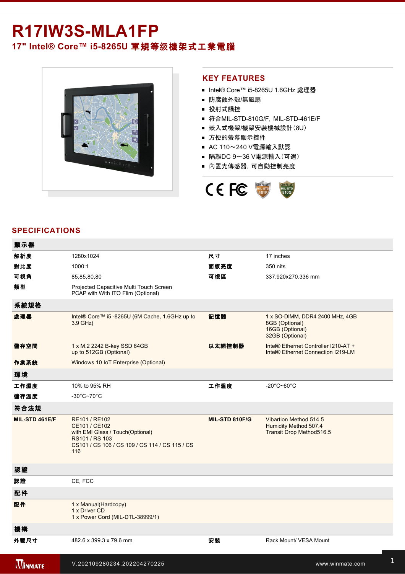## R17IW3S-MLA1FP **17" Intel® Core™ i5-8265U 軍規等级機架式工業電腦**



## **KEY FEATURES**

- Intel® Core™ i5-8265U 1.6GHz 處理器
- 防腐蝕外殼/無風扇
- 投射式觸控
- 符合MIL-STD-810G/F, MIL-STD-461E/F
- 嵌入式機架/機架安裝機械設計(8U)
- 方便的螢幕顯示控件
- AC 110~240 V電源輸入默認
- 隔離DC 9~36 V電源輸入(可選)
- 內置光傳感器,可自動控制亮度



## **SPECIFICATIONS**

| 顯示器            |                                                                                                                                               |                |                                                                                         |
|----------------|-----------------------------------------------------------------------------------------------------------------------------------------------|----------------|-----------------------------------------------------------------------------------------|
| 解析度            | 1280x1024                                                                                                                                     | 尺寸             | 17 inches                                                                               |
| 對比度            | 1000:1                                                                                                                                        | 面版亮度           | 350 nits                                                                                |
| 可視角            | 85,85,80,80                                                                                                                                   | 可視區            | 337.920x270.336 mm                                                                      |
| 類型             | Projected Capacitive Multi Touch Screen<br>PCAP with With ITO Flim (Optional)                                                                 |                |                                                                                         |
| 系統規格           |                                                                                                                                               |                |                                                                                         |
| 處理器            | Intel® Core™ i5 -8265U (6M Cache, 1.6GHz up to<br>3.9 GHz)                                                                                    | 記憶體            | 1 x SO-DIMM, DDR4 2400 MHz, 4GB<br>8GB (Optional)<br>16GB (Optional)<br>32GB (Optional) |
| 儲存空間           | 1 x M.2 2242 B-key SSD 64GB<br>up to 512GB (Optional)                                                                                         | 以太網控制器         | Intel® Ethernet Controller I210-AT +<br>Intel <sup>®</sup> Ethernet Connection I219-LM  |
| 作業系統           | Windows 10 IoT Enterprise (Optional)                                                                                                          |                |                                                                                         |
| 環境             |                                                                                                                                               |                |                                                                                         |
| 工作濕度           | 10% to 95% RH                                                                                                                                 | 工作溫度           | $-20^{\circ}$ C~60 $^{\circ}$ C                                                         |
| 儲存溫度           | $-30^{\circ}$ C~70 $^{\circ}$ C                                                                                                               |                |                                                                                         |
| 符合法規           |                                                                                                                                               |                |                                                                                         |
| MIL-STD 461E/F | RE101 / RE102<br>CE101 / CE102<br>with EMI Glass / Touch(Optional)<br>RS101 / RS 103<br>CS101 / CS 106 / CS 109 / CS 114 / CS 115 / CS<br>116 | MIL-STD 810F/G | Vibartion Method 514.5<br>Humidity Method 507.4<br>Transit Drop Method516.5             |
| 認證             |                                                                                                                                               |                |                                                                                         |
| 認證             | CE, FCC                                                                                                                                       |                |                                                                                         |
| 配件             |                                                                                                                                               |                |                                                                                         |
| 配件             | 1 x Manual(Hardcopy)<br>1 x Driver CD<br>1 x Power Cord (MIL-DTL-38999/1)                                                                     |                |                                                                                         |
| 機構             |                                                                                                                                               |                |                                                                                         |
| 外觀尺寸           | 482.6 x 399.3 x 79.6 mm                                                                                                                       | 安装             | Rack Mount/ VESA Mount                                                                  |
| <b>WINMATE</b> | V.202109280234.202204270225                                                                                                                   |                | www.winmate.com                                                                         |

USB<del>)2 x 2 x 2 complete 2 x 2 complete 2 x 2 complete 2 complete 2 complete 2 complete 2 complete 2 complete 2 co</del>